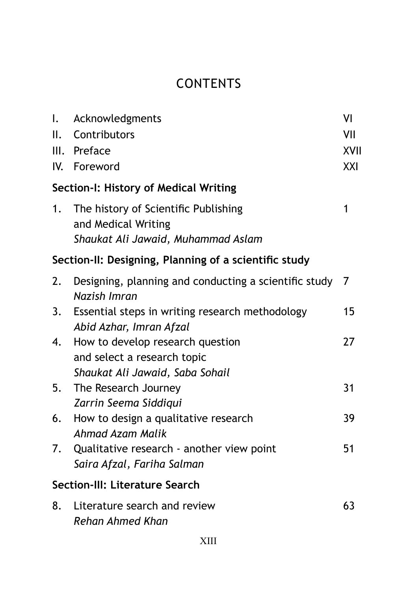## **CONTENTS**

| Ι.  | Acknowledgments                                                                                    | VI   |  |  |
|-----|----------------------------------------------------------------------------------------------------|------|--|--|
| II. | Contributors                                                                                       | VII  |  |  |
|     | III. Preface                                                                                       | XVII |  |  |
|     | IV. Foreword                                                                                       | XXI  |  |  |
|     | Section-I: History of Medical Writing                                                              |      |  |  |
| 1.  | The history of Scientific Publishing<br>and Medical Writing<br>Shaukat Ali Jawaid, Muhammad Aslam  | 1    |  |  |
|     | Section-II: Designing, Planning of a scientific study                                              |      |  |  |
| 2.  | Designing, planning and conducting a scientific study 7<br>Nazish Imran                            |      |  |  |
| 3.  | Essential steps in writing research methodology<br>Abid Azhar, Imran Afzal                         | 15   |  |  |
| 4.  | How to develop research question<br>and select a research topic<br>Shaukat Ali Jawaid, Saba Sohail | 27   |  |  |
| 5.  | The Research Journey<br>Zarrin Seema Siddiqui                                                      | 31   |  |  |
| 6.  | How to design a qualitative research<br>Ahmad Azam Malik                                           | 39   |  |  |
| 7.  | Qualitative research - another view point<br>Saira Afzal, Fariha Salman                            | 51   |  |  |
|     | Section-III: Literature Search                                                                     |      |  |  |
| 8.  | Literature search and review<br><b>Rehan Ahmed Khan</b>                                            | 63   |  |  |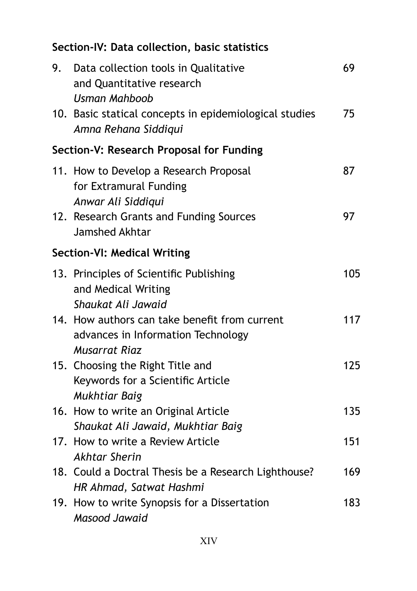## **Section-IV: Data collection, basic statistics**

| 9.                                 | Data collection tools in Qualitative<br>and Quantitative research<br>Usman Mahboob<br>10. Basic statical concepts in epidemiological studies | 69<br>75 |  |  |  |  |
|------------------------------------|----------------------------------------------------------------------------------------------------------------------------------------------|----------|--|--|--|--|
|                                    | Amna Rehana Siddiqui                                                                                                                         |          |  |  |  |  |
|                                    | Section-V: Research Proposal for Funding                                                                                                     |          |  |  |  |  |
|                                    | 11. How to Develop a Research Proposal<br>for Extramural Funding<br>Anwar Ali Siddiqui                                                       | 87       |  |  |  |  |
|                                    | 12. Research Grants and Funding Sources<br>Jamshed Akhtar                                                                                    | 97       |  |  |  |  |
| <b>Section-VI: Medical Writing</b> |                                                                                                                                              |          |  |  |  |  |
|                                    | 13. Principles of Scientific Publishing<br>and Medical Writing<br>Shaukat Ali Jawaid                                                         | 105      |  |  |  |  |
|                                    | 14. How authors can take benefit from current<br>advances in Information Technology<br><b>Musarrat Riaz</b>                                  | 117      |  |  |  |  |
|                                    | 15. Choosing the Right Title and<br>Keywords for a Scientific Article<br>Mukhtiar Baig                                                       | 125      |  |  |  |  |
|                                    | 16. How to write an Original Article<br>Shaukat Ali Jawaid, Mukhtiar Baig                                                                    | 135      |  |  |  |  |
|                                    | 17. How to write a Review Article<br><b>Akhtar Sherin</b>                                                                                    | 151      |  |  |  |  |
|                                    | 18. Could a Doctral Thesis be a Research Lighthouse?<br>HR Ahmad, Satwat Hashmi                                                              | 169      |  |  |  |  |
|                                    | 19. How to write Synopsis for a Dissertation<br>Masood Jawaid                                                                                | 183      |  |  |  |  |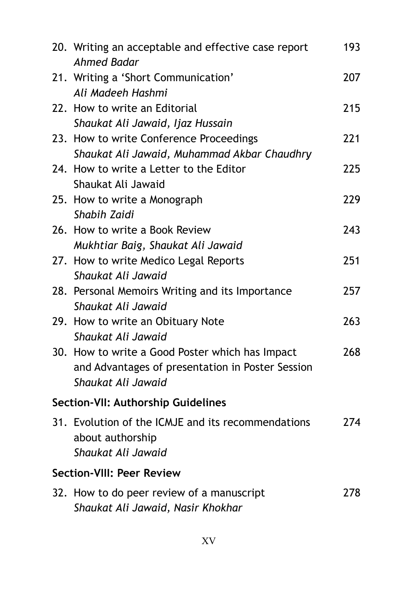|                                  | 20. Writing an acceptable and effective case report<br><b>Ahmed Badar</b>                                                 | 193 |  |  |  |
|----------------------------------|---------------------------------------------------------------------------------------------------------------------------|-----|--|--|--|
|                                  | 21. Writing a 'Short Communication'<br>Ali Madeeh Hashmi                                                                  | 207 |  |  |  |
|                                  | 22. How to write an Editorial<br>Shaukat Ali Jawaid, Ijaz Hussain                                                         | 215 |  |  |  |
|                                  | 23. How to write Conference Proceedings<br>Shaukat Ali Jawaid, Muhammad Akbar Chaudhry                                    | 221 |  |  |  |
|                                  | 24. How to write a Letter to the Editor<br>Shaukat Ali Jawaid                                                             | 225 |  |  |  |
|                                  | 25. How to write a Monograph<br>Shabih Zaidi                                                                              | 229 |  |  |  |
|                                  | 26. How to write a Book Review<br>Mukhtiar Baig, Shaukat Ali Jawaid                                                       | 243 |  |  |  |
|                                  | 27. How to write Medico Legal Reports<br>Shaukat Ali Jawaid                                                               | 251 |  |  |  |
|                                  | 28. Personal Memoirs Writing and its Importance<br>Shaukat Ali Jawaid                                                     | 257 |  |  |  |
|                                  | 29. How to write an Obituary Note<br>Shaukat Ali Jawaid                                                                   | 263 |  |  |  |
|                                  | 30. How to write a Good Poster which has Impact<br>and Advantages of presentation in Poster Session<br>Shaukat Ali Jawaid | 268 |  |  |  |
|                                  | Section-VII: Authorship Guidelines                                                                                        |     |  |  |  |
|                                  | 31. Evolution of the ICMJE and its recommendations<br>about authorship<br>Shaukat Ali Jawaid                              | 274 |  |  |  |
| <b>Section-VIII: Peer Review</b> |                                                                                                                           |     |  |  |  |
|                                  | 32. How to do peer review of a manuscript<br>Shaukat Ali Jawaid, Nasir Khokhar                                            | 278 |  |  |  |